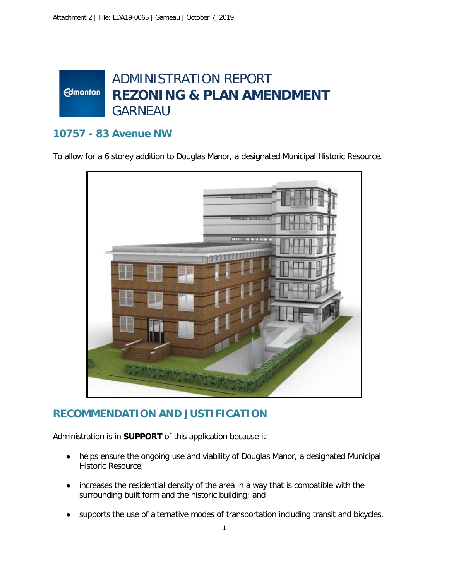## ADMINISTRATION REPORT **Edmonton REZONING & PLAN AMENDMENT** GARNEAU

## **10757 - 83 Avenue NW**

To allow for a 6 storey addition to Douglas Manor, a designated Municipal Historic Resource.



## **RECOMMENDATION AND JUSTIFICATION**

Administration is in **SUPPORT** of this application because it:

- helps ensure the ongoing use and viability of Douglas Manor, a designated Municipal Historic Resource;
- increases the residential density of the area in a way that is compatible with the surrounding built form and the historic building; and
- supports the use of alternative modes of transportation including transit and bicycles.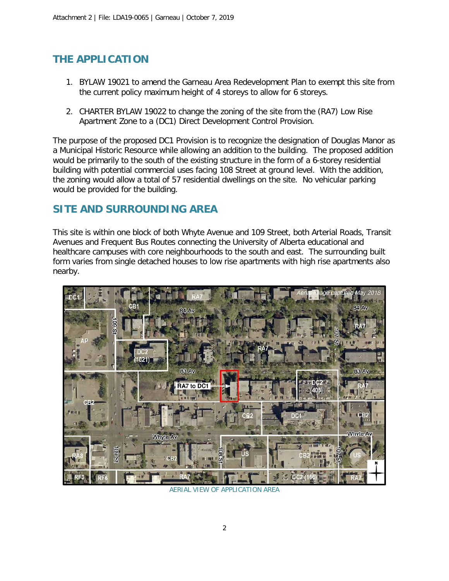# **THE APPLICATION**

- 1. BYLAW 19021 to amend the Garneau Area Redevelopment Plan to exempt this site from the current policy maximum height of 4 storeys to allow for 6 storeys.
- 2. CHARTER BYLAW 19022 to change the zoning of the site from the (RA7) Low Rise Apartment Zone to a (DC1) Direct Development Control Provision.

The purpose of the proposed DC1 Provision is to recognize the designation of Douglas Manor as a Municipal Historic Resource while allowing an addition to the building. The proposed addition would be primarily to the south of the existing structure in the form of a 6-storey residential building with potential commercial uses facing 108 Street at ground level. With the addition, the zoning would allow a total of 57 residential dwellings on the site. No vehicular parking would be provided for the building.

## **SITE AND SURROUNDING AREA**

This site is within one block of both Whyte Avenue and 109 Street, both Arterial Roads, Transit Avenues and Frequent Bus Routes connecting the University of Alberta educational and healthcare campuses with core neighbourhoods to the south and east. The surrounding built form varies from single detached houses to low rise apartments with high rise apartments also nearby.



AERIAL VIEW OF APPLICATION AREA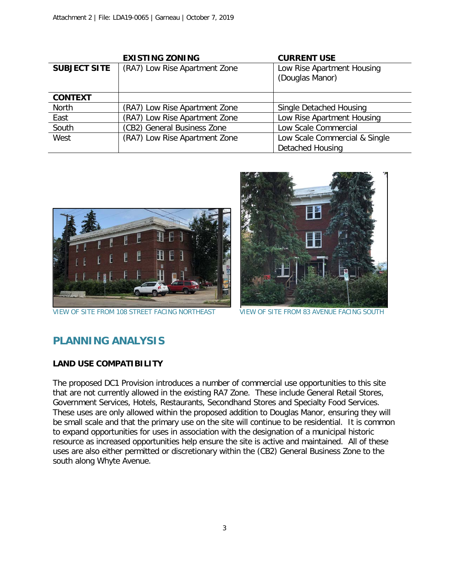|                     | <b>EXISTING ZONING</b>        | <b>CURRENT USE</b>                            |
|---------------------|-------------------------------|-----------------------------------------------|
| <b>SUBJECT SITE</b> | (RA7) Low Rise Apartment Zone | Low Rise Apartment Housing<br>(Douglas Manor) |
| <b>CONTEXT</b>      |                               |                                               |
| North               | (RA7) Low Rise Apartment Zone | Single Detached Housing                       |
| East                | (RA7) Low Rise Apartment Zone | Low Rise Apartment Housing                    |
| South               | (CB2) General Business Zone   | Low Scale Commercial                          |
| West                | (RA7) Low Rise Apartment Zone | Low Scale Commercial & Single                 |
|                     |                               | Detached Housing                              |



VIEW OF SITE FROM 108 STREET FACING NORTHEAST VIEW OF SITE FROM 83 AVENUE FACING SOUTH



# **PLANNING ANALYSIS**

### **LAND USE COMPATIBILITY**

The proposed DC1 Provision introduces a number of commercial use opportunities to this site that are not currently allowed in the existing RA7 Zone. These include General Retail Stores, Government Services, Hotels, Restaurants, Secondhand Stores and Specialty Food Services. These uses are only allowed within the proposed addition to Douglas Manor, ensuring they will be small scale and that the primary use on the site will continue to be residential. It is common to expand opportunities for uses in association with the designation of a municipal historic resource as increased opportunities help ensure the site is active and maintained. All of these uses are also either permitted or discretionary within the (CB2) General Business Zone to the south along Whyte Avenue.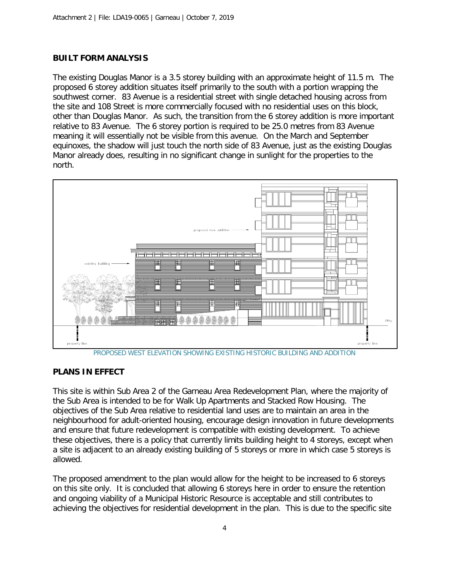## **BUILT FORM ANALYSIS**

The existing Douglas Manor is a 3.5 storey building with an approximate height of 11.5 m. The proposed 6 storey addition situates itself primarily to the south with a portion wrapping the southwest corner. 83 Avenue is a residential street with single detached housing across from the site and 108 Street is more commercially focused with no residential uses on this block, other than Douglas Manor. As such, the transition from the 6 storey addition is more important relative to 83 Avenue. The 6 storey portion is required to be 25.0 metres from 83 Avenue meaning it will essentially not be visible from this avenue. On the March and September equinoxes, the shadow will just touch the north side of 83 Avenue, just as the existing Douglas Manor already does, resulting in no significant change in sunlight for the properties to the north.



PROPOSED WEST ELEVATION SHOWING EXISTING HISTORIC BUILDING AND ADDITION

### **PLANS IN EFFECT**

This site is within Sub Area 2 of the Garneau Area Redevelopment Plan, where the majority of the Sub Area is intended to be for Walk Up Apartments and Stacked Row Housing. The objectives of the Sub Area relative to residential land uses are to maintain an area in the neighbourhood for adult-oriented housing, encourage design innovation in future developments and ensure that future redevelopment is compatible with existing development. To achieve these objectives, there is a policy that currently limits building height to 4 storeys, except when a site is adjacent to an already existing building of 5 storeys or more in which case 5 storeys is allowed.

The proposed amendment to the plan would allow for the height to be increased to 6 storeys on this site only. It is concluded that allowing 6 storeys here in order to ensure the retention and ongoing viability of a Municipal Historic Resource is acceptable and still contributes to achieving the objectives for residential development in the plan. This is due to the specific site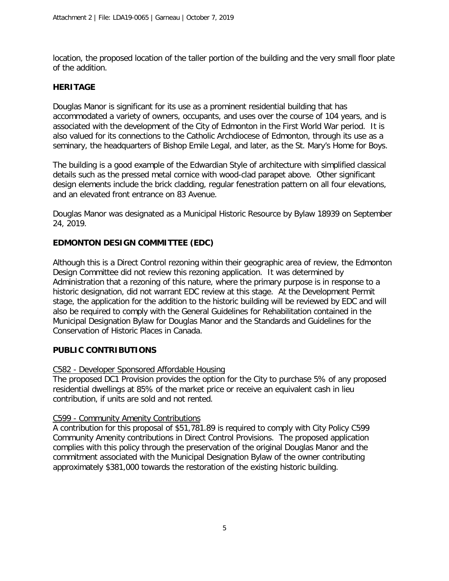location, the proposed location of the taller portion of the building and the very small floor plate of the addition.

### **HERITAGE**

Douglas Manor is significant for its use as a prominent residential building that has accommodated a variety of owners, occupants, and uses over the course of 104 years, and is associated with the development of the City of Edmonton in the First World War period. It is also valued for its connections to the Catholic Archdiocese of Edmonton, through its use as a seminary, the headquarters of Bishop Emile Legal, and later, as the St. Mary's Home for Boys.

The building is a good example of the Edwardian Style of architecture with simplified classical details such as the pressed metal cornice with wood-clad parapet above. Other significant design elements include the brick cladding, regular fenestration pattern on all four elevations, and an elevated front entrance on 83 Avenue.

Douglas Manor was designated as a Municipal Historic Resource by Bylaw 18939 on September 24, 2019.

### **EDMONTON DESIGN COMMITTEE (EDC)**

Although this is a Direct Control rezoning within their geographic area of review, the Edmonton Design Committee did not review this rezoning application. It was determined by Administration that a rezoning of this nature, where the primary purpose is in response to a historic designation, did not warrant EDC review at this stage. At the Development Permit stage, the application for the addition to the historic building will be reviewed by EDC and will also be required to comply with the General Guidelines for Rehabilitation contained in the Municipal Designation Bylaw for Douglas Manor and the Standards and Guidelines for the Conservation of Historic Places in Canada.

#### **PUBLIC CONTRIBUTIONS**

#### C582 - Developer Sponsored Affordable Housing

The proposed DC1 Provision provides the option for the City to purchase 5% of any proposed residential dwellings at 85% of the market price or receive an equivalent cash in lieu contribution, if units are sold and not rented.

#### C599 - Community Amenity Contributions

A contribution for this proposal of \$51,781.89 is required to comply with City Policy C599 Community Amenity contributions in Direct Control Provisions. The proposed application complies with this policy through the preservation of the original Douglas Manor and the commitment associated with the Municipal Designation Bylaw of the owner contributing approximately \$381,000 towards the restoration of the existing historic building.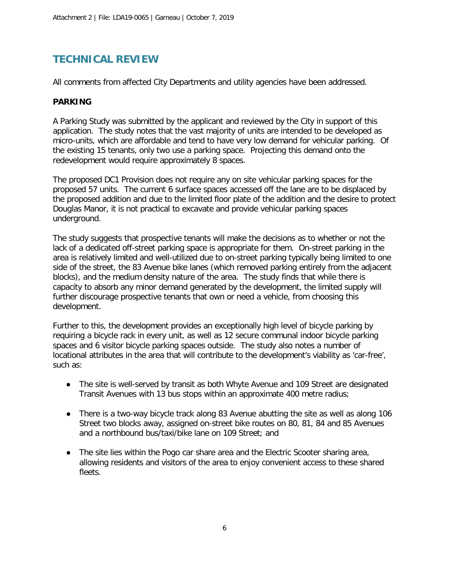## **TECHNICAL REVIEW**

All comments from affected City Departments and utility agencies have been addressed.

### **PARKING**

A Parking Study was submitted by the applicant and reviewed by the City in support of this application. The study notes that the vast majority of units are intended to be developed as micro-units, which are affordable and tend to have very low demand for vehicular parking. Of the existing 15 tenants, only two use a parking space. Projecting this demand onto the redevelopment would require approximately 8 spaces.

The proposed DC1 Provision does not require any on site vehicular parking spaces for the proposed 57 units. The current 6 surface spaces accessed off the lane are to be displaced by the proposed addition and due to the limited floor plate of the addition and the desire to protect Douglas Manor, it is not practical to excavate and provide vehicular parking spaces underground.

The study suggests that prospective tenants will make the decisions as to whether or not the lack of a dedicated off-street parking space is appropriate for them. On-street parking in the area is relatively limited and well-utilized due to on-street parking typically being limited to one side of the street, the 83 Avenue bike lanes (which removed parking entirely from the adjacent blocks), and the medium density nature of the area. The study finds that while there is capacity to absorb any minor demand generated by the development, the limited supply will further discourage prospective tenants that own or need a vehicle, from choosing this development.

Further to this, the development provides an exceptionally high level of bicycle parking by requiring a bicycle rack in every unit, as well as 12 secure communal indoor bicycle parking spaces and 6 visitor bicycle parking spaces outside. The study also notes a number of locational attributes in the area that will contribute to the development's viability as 'car-free', such as:

- The site is well-served by transit as both Whyte Avenue and 109 Street are designated Transit Avenues with 13 bus stops within an approximate 400 metre radius;
- There is a two-way bicycle track along 83 Avenue abutting the site as well as along 106 Street two blocks away, assigned on-street bike routes on 80, 81, 84 and 85 Avenues and a northbound bus/taxi/bike lane on 109 Street; and
- The site lies within the Pogo car share area and the Electric Scooter sharing area, allowing residents and visitors of the area to enjoy convenient access to these shared fleets.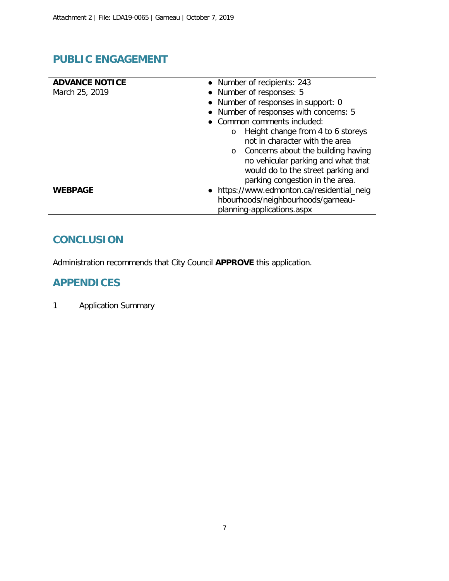# **PUBLIC ENGAGEMENT**

| <b>ADVANCE NOTICE</b> | • Number of recipients: 243                    |  |
|-----------------------|------------------------------------------------|--|
| March 25, 2019        | • Number of responses: 5                       |  |
|                       | • Number of responses in support: 0            |  |
|                       | • Number of responses with concerns: 5         |  |
|                       | • Common comments included:                    |  |
|                       | Height change from 4 to 6 storeys<br>O         |  |
|                       | not in character with the area                 |  |
|                       | Concerns about the building having<br>$\Omega$ |  |
|                       | no vehicular parking and what that             |  |
|                       | would do to the street parking and             |  |
|                       | parking congestion in the area.                |  |
| <b>WEBPAGE</b>        | • https://www.edmonton.ca/residential_neig     |  |
|                       | hbourhoods/neighbourhoods/garneau-             |  |
|                       | planning-applications.aspx                     |  |

# **CONCLUSION**

Administration recommends that City Council **APPROVE** this application.

## **APPENDICES**

1 Application Summary